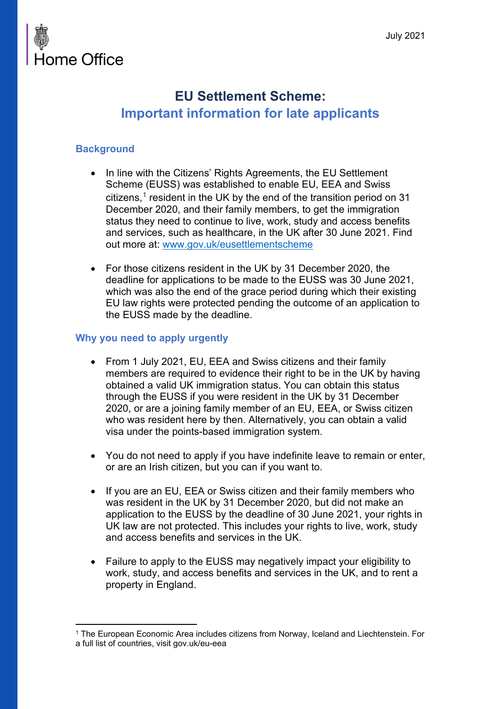

### **EU Settlement Scheme: Important information for late applicants**

### **Background**

- In line with the Citizens' Rights Agreements, the EU Settlement Scheme (EUSS) was established to enable EU, EEA and Swiss citizens, $^1$  $^1$  resident in the UK by the end of the transition period on 31 December 2020, and their family members, to get the immigration status they need to continue to live, work, study and access benefits and services, such as healthcare, in the UK after 30 June 2021. Find out more at: [www.gov.uk/eusettlementscheme](http://www.gov.uk/eusettlementscheme)
- For those citizens resident in the UK by 31 December 2020, the deadline for applications to be made to the EUSS was 30 June 2021, which was also the end of the grace period during which their existing EU law rights were protected pending the outcome of an application to the EUSS made by the deadline.

### **Why you need to apply urgently**

- From 1 July 2021, EU, EEA and Swiss citizens and their family members are required to evidence their right to be in the UK by having obtained a valid UK immigration status. You can obtain this status through the EUSS if you were resident in the UK by 31 December 2020, or are a joining family member of an EU, EEA, or Swiss citizen who was resident here by then. Alternatively, you can obtain a valid visa under the points-based immigration system.
- You do not need to apply if you have indefinite leave to remain or enter, or are an Irish citizen, but you can if you want to.
- If you are an EU, EEA or Swiss citizen and their family members who was resident in the UK by 31 December 2020, but did not make an application to the EUSS by the deadline of 30 June 2021, your rights in UK law are not protected. This includes your rights to live, work, study and access benefits and services in the UK.
- Failure to apply to the EUSS may negatively impact your eligibility to work, study, and access benefits and services in the UK, and to rent a property in England.

<span id="page-0-0"></span><sup>1</sup> The European Economic Area includes citizens from Norway, Iceland and Liechtenstein. For a full list of countries, visit gov.uk/eu-eea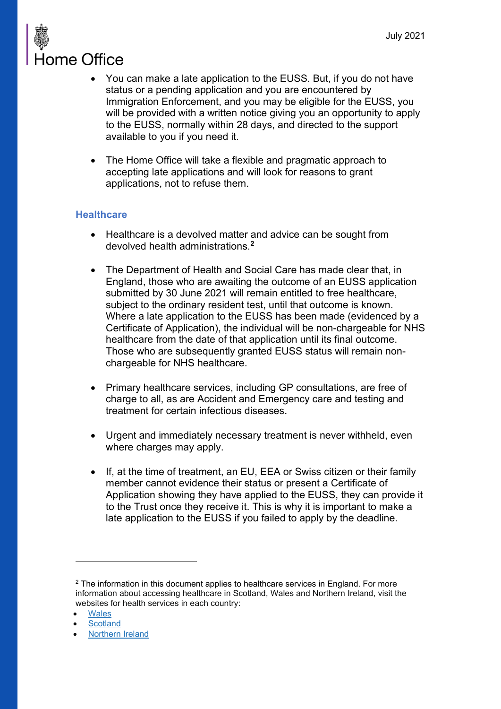# Home Office

- You can make a late application to the EUSS. But, if you do not have status or a pending application and you are encountered by Immigration Enforcement, and you may be eligible for the EUSS, you will be provided with a written notice giving you an opportunity to apply to the EUSS, normally within 28 days, and directed to the support available to you if you need it.
- The Home Office will take a flexible and pragmatic approach to accepting late applications and will look for reasons to grant applications, not to refuse them.

### **Healthcare**

- Healthcare is a devolved matter and advice can be sought from devolved health administrations.**[2](#page-1-0)**
- The Department of Health and Social Care has made clear that, in England, those who are awaiting the outcome of an EUSS application submitted by 30 June 2021 will remain entitled to free healthcare, subject to the ordinary resident test, until that outcome is known. Where a late application to the EUSS has been made (evidenced by a Certificate of Application), the individual will be non-chargeable for NHS healthcare from the date of that application until its final outcome. Those who are subsequently granted EUSS status will remain nonchargeable for NHS healthcare.
- Primary healthcare services, including GP consultations, are free of charge to all, as are Accident and Emergency care and testing and treatment for certain infectious diseases.
- Urgent and immediately necessary treatment is never withheld, even where charges may apply.
- If, at the time of treatment, an EU, EEA or Swiss citizen or their family member cannot evidence their status or present a Certificate of Application showing they have applied to the EUSS, they can provide it to the Trust once they receive it. This is why it is important to make a late application to the EUSS if you failed to apply by the deadline.

<span id="page-1-0"></span><sup>2</sup> The information in this document applies to healthcare services in England. For more information about accessing healthcare in Scotland, Wales and Northern Ireland, visit the websites for health services in each country:

**[Wales](https://gov.wales/preparing-wales-brexit/health-and-social-services)** 

**[Scotland](https://www2.gov.scot/Topics/Health/Services/Overseas-visitors)** 

<sup>•</sup> [Northern](https://www.health-ni.gov.uk/articles/european-union-overseas-and-visitors-policy) Ireland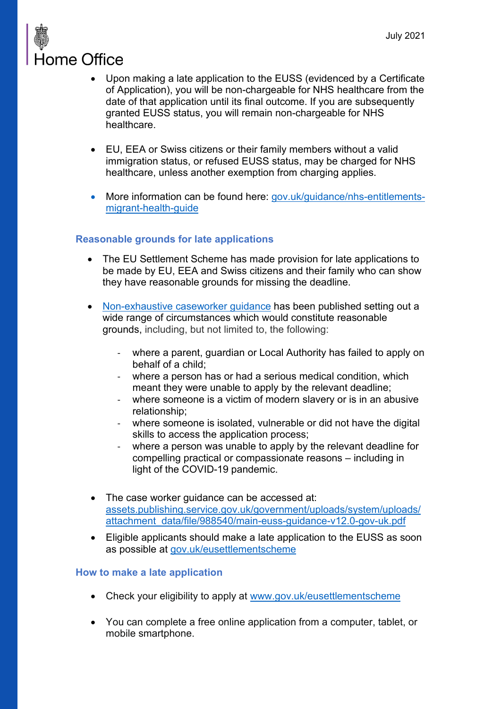### **Home Office**

- Upon making a late application to the EUSS (evidenced by a Certificate of Application), you will be non-chargeable for NHS healthcare from the date of that application until its final outcome. If you are subsequently granted EUSS status, you will remain non-chargeable for NHS healthcare.
- EU, EEA or Swiss citizens or their family members without a valid immigration status, or refused EUSS status, may be charged for NHS healthcare, unless another exemption from charging applies.
- More information can be found here: [gov.uk/guidance/nhs-entitlements](https://www.gov.uk/guidance/nhs-entitlements-migrant-health-guide)[migrant-health-guide](https://www.gov.uk/guidance/nhs-entitlements-migrant-health-guide)

### **Reasonable grounds for late applications**

- The EU Settlement Scheme has made provision for late applications to be made by EU, EEA and Swiss citizens and their family who can show they have reasonable grounds for missing the deadline.
- [Non-exhaustive caseworker guidance](https://assets.publishing.service.gov.uk/government/uploads/system/uploads/attachment_data/file/988540/main-euss-guidance-v12.0-gov-uk.pdf) has been published setting out a wide range of circumstances which would constitute reasonable grounds, including, but not limited to, the following:
	- where a parent, guardian or Local Authority has failed to apply on behalf of a child;
	- where a person has or had a serious medical condition, which meant they were unable to apply by the relevant deadline;
	- where someone is a victim of modern slavery or is in an abusive relationship;
	- where someone is isolated, vulnerable or did not have the digital skills to access the application process;
	- where a person was unable to apply by the relevant deadline for compelling practical or compassionate reasons – including in light of the COVID-19 pandemic.
- The case worker guidance can be accessed at: [assets.publishing.service.gov.uk/government/uploads/system/uploads/](https://assets.publishing.service.gov.uk/government/uploads/system/uploads/attachment_data/file/988540/main-euss-guidance-v12.0-gov-uk.pdf) [attachment\\_data/file/988540/main-euss-guidance-v12.0-gov-uk.pdf](https://assets.publishing.service.gov.uk/government/uploads/system/uploads/attachment_data/file/988540/main-euss-guidance-v12.0-gov-uk.pdf)
- Eligible applicants should make a late application to the EUSS as soon as possible at [gov.uk/eusettlementscheme](https://www.gov.uk/eusettlementscheme)

### **How to make a late application**

- Check your eligibility to apply at [www.gov.uk/eusettlementscheme](http://www.gov.uk/eusettlementscheme)
- You can complete a free online application from a computer, tablet, or mobile smartphone.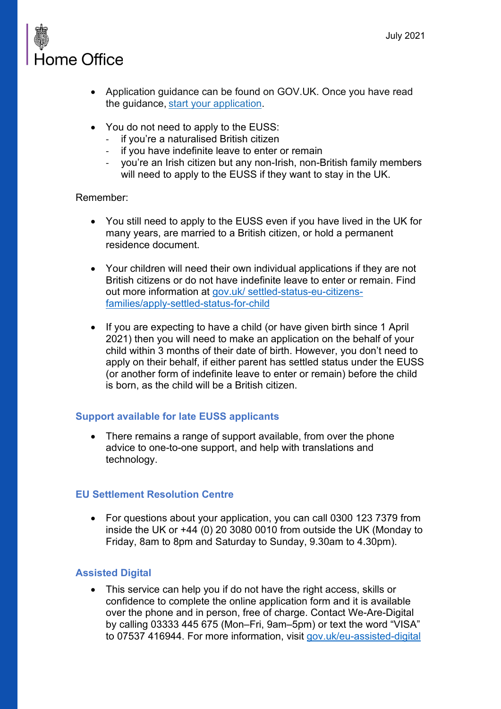## **Home Office**

- Application guidance can be found on GOV.UK. Once you have read the guidance, [start your application.](https://www.gov.uk/eusettlementscheme)
- You do not need to apply to the EUSS:
	- if you're a naturalised British citizen
	- if you have indefinite leave to enter or remain
	- you're an Irish citizen but any non-Irish, non-British family members will need to apply to the EUSS if they want to stay in the UK.

### Remember:

- You still need to apply to the EUSS even if you have lived in the UK for many years, are married to a British citizen, or hold a permanent residence document.
- Your children will need their own individual applications if they are not British citizens or do not have indefinite leave to enter or remain. Find out more information at [gov.uk/ settled-status-eu-citizens](https://www.gov.uk/settled-status-eu-citizens-families/apply-settled-status-for-child)[families/apply-settled-status-for-child](https://www.gov.uk/settled-status-eu-citizens-families/apply-settled-status-for-child)
- If you are expecting to have a child (or have given birth since 1 April 2021) then you will need to make an application on the behalf of your child within 3 months of their date of birth. However, you don't need to apply on their behalf, if either parent has settled status under the EUSS (or another form of indefinite leave to enter or remain) before the child is born, as the child will be a British citizen.

### **Support available for late EUSS applicants**

• There remains a range of support available, from over the phone advice to one-to-one support, and help with translations and technology.

### **EU Settlement Resolution Centre**

• For questions about your application, you can call 0300 123 7379 from inside the UK or +44 (0) 20 3080 0010 from outside the UK (Monday to Friday, 8am to 8pm and Saturday to Sunday, 9.30am to 4.30pm).

### **Assisted Digital**

• This service can help you if do not have the right access, skills or confidence to complete the online application form and it is available over the phone and in person, free of charge. Contact We-Are-Digital by calling 03333 445 675 (Mon–Fri, 9am–5pm) or text the word "VISA" to 07537 416944. For more information, visit [gov.uk/eu-assisted-digital](https://www.gov.uk/assisted-digital-help-online-applications)